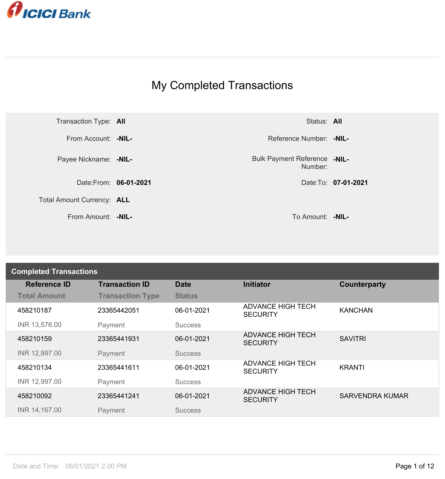

## My Completed Transactions



Number: **-NIL-**

| <b>Completed Transactions</b> |                         |                |                                             |                        |
|-------------------------------|-------------------------|----------------|---------------------------------------------|------------------------|
| <b>Reference ID</b>           | <b>Transaction ID</b>   | <b>Date</b>    | <b>Initiator</b>                            | Counterparty           |
| <b>Total Amount</b>           | <b>Transaction Type</b> | <b>Status</b>  |                                             |                        |
| 458210187                     | 23365442051             | 06-01-2021     | <b>ADVANCE HIGH TECH</b><br><b>SECURITY</b> | <b>KANCHAN</b>         |
| INR 13,576.00                 | Payment                 | <b>Success</b> |                                             |                        |
| 458210159                     | 23365441931             | 06-01-2021     | <b>ADVANCE HIGH TECH</b><br><b>SECURITY</b> | <b>SAVITRI</b>         |
| INR 12,997.00                 | Payment                 | <b>Success</b> |                                             |                        |
| 458210134                     | 23365441611             | 06-01-2021     | <b>ADVANCE HIGH TECH</b><br><b>SECURITY</b> | <b>KRANTI</b>          |
| INR 12,997.00                 | Payment                 | <b>Success</b> |                                             |                        |
| 458210092                     | 23365441241             | 06-01-2021     | <b>ADVANCE HIGH TECH</b><br><b>SECURITY</b> | <b>SARVENDRA KUMAR</b> |
| INR 14,167.00                 | Payment                 | <b>Success</b> |                                             |                        |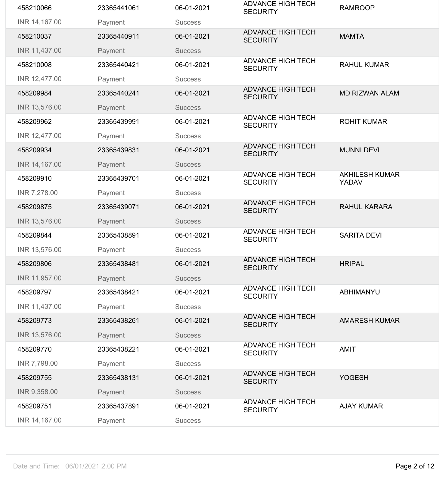| 458210066     | 23365441061 | 06-01-2021     | <b>ADVANCE HIGH TECH</b><br><b>SECURITY</b> | <b>RAMROOP</b>                 |
|---------------|-------------|----------------|---------------------------------------------|--------------------------------|
| INR 14,167.00 | Payment     | <b>Success</b> |                                             |                                |
| 458210037     | 23365440911 | 06-01-2021     | <b>ADVANCE HIGH TECH</b><br><b>SECURITY</b> | <b>MAMTA</b>                   |
| INR 11,437.00 | Payment     | <b>Success</b> |                                             |                                |
| 458210008     | 23365440421 | 06-01-2021     | <b>ADVANCE HIGH TECH</b><br><b>SECURITY</b> | <b>RAHUL KUMAR</b>             |
| INR 12,477.00 | Payment     | <b>Success</b> |                                             |                                |
| 458209984     | 23365440241 | 06-01-2021     | <b>ADVANCE HIGH TECH</b><br><b>SECURITY</b> | <b>MD RIZWAN ALAM</b>          |
| INR 13,576.00 | Payment     | <b>Success</b> |                                             |                                |
| 458209962     | 23365439991 | 06-01-2021     | <b>ADVANCE HIGH TECH</b><br><b>SECURITY</b> | <b>ROHIT KUMAR</b>             |
| INR 12,477.00 | Payment     | <b>Success</b> |                                             |                                |
| 458209934     | 23365439831 | 06-01-2021     | <b>ADVANCE HIGH TECH</b><br><b>SECURITY</b> | <b>MUNNI DEVI</b>              |
| INR 14,167.00 | Payment     | <b>Success</b> |                                             |                                |
| 458209910     | 23365439701 | 06-01-2021     | <b>ADVANCE HIGH TECH</b><br><b>SECURITY</b> | <b>AKHILESH KUMAR</b><br>YADAV |
| INR 7,278.00  | Payment     | <b>Success</b> |                                             |                                |
| 458209875     | 23365439071 | 06-01-2021     | <b>ADVANCE HIGH TECH</b><br><b>SECURITY</b> | <b>RAHUL KARARA</b>            |
| INR 13,576.00 | Payment     | <b>Success</b> |                                             |                                |
| 458209844     | 23365438891 | 06-01-2021     | <b>ADVANCE HIGH TECH</b><br><b>SECURITY</b> | <b>SARITA DEVI</b>             |
| INR 13,576.00 | Payment     | <b>Success</b> |                                             |                                |
| 458209806     | 23365438481 | 06-01-2021     | <b>ADVANCE HIGH TECH</b><br><b>SECURITY</b> | <b>HRIPAL</b>                  |
| INR 11,957.00 | Payment     | <b>Success</b> |                                             |                                |
| 458209797     | 23365438421 | 06-01-2021     | <b>ADVANCE HIGH TECH</b><br><b>SECURITY</b> | <b>ABHIMANYU</b>               |
| INR 11,437.00 | Payment     | <b>Success</b> |                                             |                                |
| 458209773     | 23365438261 | 06-01-2021     | <b>ADVANCE HIGH TECH</b><br><b>SECURITY</b> | <b>AMARESH KUMAR</b>           |
| INR 13,576.00 | Payment     | <b>Success</b> |                                             |                                |
| 458209770     | 23365438221 | 06-01-2021     | <b>ADVANCE HIGH TECH</b><br><b>SECURITY</b> | AMIT                           |
| INR 7,798.00  | Payment     | <b>Success</b> |                                             |                                |
| 458209755     | 23365438131 | 06-01-2021     | <b>ADVANCE HIGH TECH</b><br><b>SECURITY</b> | <b>YOGESH</b>                  |
| INR 9,358.00  | Payment     | <b>Success</b> |                                             |                                |
| 458209751     | 23365437891 | 06-01-2021     | <b>ADVANCE HIGH TECH</b><br><b>SECURITY</b> | <b>AJAY KUMAR</b>              |
| INR 14,167.00 | Payment     | <b>Success</b> |                                             |                                |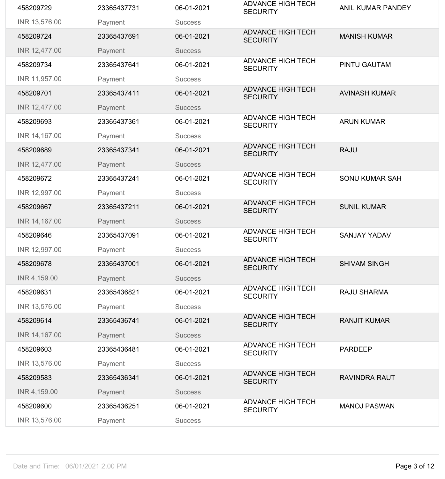| 458209729     | 23365437731 | 06-01-2021     | <b>ADVANCE HIGH TECH</b><br><b>SECURITY</b> | <b>ANIL KUMAR PANDEY</b> |
|---------------|-------------|----------------|---------------------------------------------|--------------------------|
| INR 13,576.00 | Payment     | <b>Success</b> |                                             |                          |
| 458209724     | 23365437691 | 06-01-2021     | <b>ADVANCE HIGH TECH</b><br><b>SECURITY</b> | <b>MANISH KUMAR</b>      |
| INR 12,477.00 | Payment     | <b>Success</b> |                                             |                          |
| 458209734     | 23365437641 | 06-01-2021     | <b>ADVANCE HIGH TECH</b><br><b>SECURITY</b> | <b>PINTU GAUTAM</b>      |
| INR 11,957.00 | Payment     | <b>Success</b> |                                             |                          |
| 458209701     | 23365437411 | 06-01-2021     | <b>ADVANCE HIGH TECH</b><br><b>SECURITY</b> | <b>AVINASH KUMAR</b>     |
| INR 12,477.00 | Payment     | <b>Success</b> |                                             |                          |
| 458209693     | 23365437361 | 06-01-2021     | <b>ADVANCE HIGH TECH</b><br><b>SECURITY</b> | <b>ARUN KUMAR</b>        |
| INR 14,167.00 | Payment     | <b>Success</b> |                                             |                          |
| 458209689     | 23365437341 | 06-01-2021     | <b>ADVANCE HIGH TECH</b><br><b>SECURITY</b> | <b>RAJU</b>              |
| INR 12,477.00 | Payment     | <b>Success</b> |                                             |                          |
| 458209672     | 23365437241 | 06-01-2021     | <b>ADVANCE HIGH TECH</b><br><b>SECURITY</b> | <b>SONU KUMAR SAH</b>    |
| INR 12,997.00 | Payment     | <b>Success</b> |                                             |                          |
| 458209667     | 23365437211 | 06-01-2021     | <b>ADVANCE HIGH TECH</b><br><b>SECURITY</b> | <b>SUNIL KUMAR</b>       |
| INR 14,167.00 | Payment     | <b>Success</b> |                                             |                          |
| 458209646     | 23365437091 | 06-01-2021     | <b>ADVANCE HIGH TECH</b><br><b>SECURITY</b> | <b>SANJAY YADAV</b>      |
| INR 12,997.00 | Payment     | <b>Success</b> |                                             |                          |
| 458209678     | 23365437001 | 06-01-2021     | <b>ADVANCE HIGH TECH</b><br><b>SECURITY</b> | <b>SHIVAM SINGH</b>      |
| INR 4,159.00  | Payment     | <b>Success</b> |                                             |                          |
| 458209631     | 23365436821 | 06-01-2021     | <b>ADVANCE HIGH TECH</b><br><b>SECURITY</b> | <b>RAJU SHARMA</b>       |
| INR 13,576.00 | Payment     | <b>Success</b> |                                             |                          |
| 458209614     | 23365436741 | 06-01-2021     | <b>ADVANCE HIGH TECH</b><br><b>SECURITY</b> | <b>RANJIT KUMAR</b>      |
| INR 14,167.00 | Payment     | <b>Success</b> |                                             |                          |
| 458209603     | 23365436481 | 06-01-2021     | <b>ADVANCE HIGH TECH</b><br><b>SECURITY</b> | <b>PARDEEP</b>           |
| INR 13,576.00 | Payment     | <b>Success</b> |                                             |                          |
|               |             |                | <b>ADVANCE HIGH TECH</b>                    | <b>RAVINDRA RAUT</b>     |
| 458209583     | 23365436341 | 06-01-2021     | <b>SECURITY</b>                             |                          |
| INR 4,159.00  | Payment     | <b>Success</b> |                                             |                          |
| 458209600     | 23365436251 | 06-01-2021     | <b>ADVANCE HIGH TECH</b><br><b>SECURITY</b> | <b>MANOJ PASWAN</b>      |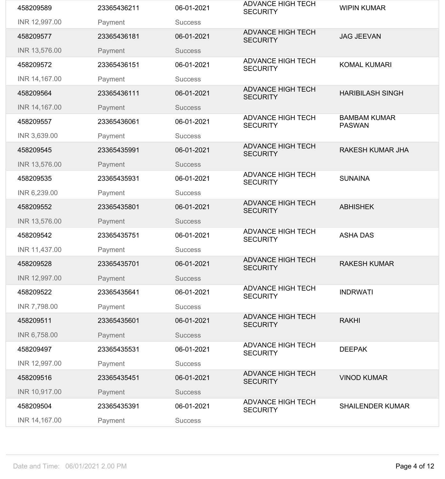| 458209589     | 23365436211 | 06-01-2021     | <b>ADVANCE HIGH TECH</b><br><b>SECURITY</b> | <b>WIPIN KUMAR</b>                   |
|---------------|-------------|----------------|---------------------------------------------|--------------------------------------|
| INR 12,997.00 | Payment     | <b>Success</b> |                                             |                                      |
| 458209577     | 23365436181 | 06-01-2021     | <b>ADVANCE HIGH TECH</b><br><b>SECURITY</b> | <b>JAG JEEVAN</b>                    |
| INR 13,576.00 | Payment     | <b>Success</b> |                                             |                                      |
| 458209572     | 23365436151 | 06-01-2021     | <b>ADVANCE HIGH TECH</b><br><b>SECURITY</b> | <b>KOMAL KUMARI</b>                  |
| INR 14,167.00 | Payment     | <b>Success</b> |                                             |                                      |
| 458209564     | 23365436111 | 06-01-2021     | <b>ADVANCE HIGH TECH</b><br><b>SECURITY</b> | <b>HARIBILASH SINGH</b>              |
| INR 14,167.00 | Payment     | <b>Success</b> |                                             |                                      |
| 458209557     | 23365436061 | 06-01-2021     | <b>ADVANCE HIGH TECH</b><br><b>SECURITY</b> | <b>BAMBAM KUMAR</b><br><b>PASWAN</b> |
| INR 3,639.00  | Payment     | <b>Success</b> |                                             |                                      |
| 458209545     | 23365435991 | 06-01-2021     | <b>ADVANCE HIGH TECH</b><br><b>SECURITY</b> | <b>RAKESH KUMAR JHA</b>              |
| INR 13,576.00 | Payment     | <b>Success</b> |                                             |                                      |
| 458209535     | 23365435931 | 06-01-2021     | <b>ADVANCE HIGH TECH</b><br><b>SECURITY</b> | <b>SUNAINA</b>                       |
| INR 6,239.00  | Payment     | <b>Success</b> |                                             |                                      |
| 458209552     | 23365435801 | 06-01-2021     | <b>ADVANCE HIGH TECH</b><br><b>SECURITY</b> | <b>ABHISHEK</b>                      |
| INR 13,576.00 | Payment     | <b>Success</b> |                                             |                                      |
| 458209542     | 23365435751 | 06-01-2021     | <b>ADVANCE HIGH TECH</b><br><b>SECURITY</b> | <b>ASHA DAS</b>                      |
| INR 11,437.00 |             | <b>Success</b> |                                             |                                      |
|               | Payment     |                |                                             |                                      |
| 458209528     | 23365435701 | 06-01-2021     | <b>ADVANCE HIGH TECH</b><br><b>SECURITY</b> | <b>RAKESH KUMAR</b>                  |
| INR 12,997.00 | Payment     | <b>Success</b> |                                             |                                      |
| 458209522     | 23365435641 | 06-01-2021     | <b>ADVANCE HIGH TECH</b><br><b>SECURITY</b> | <b>INDRWATI</b>                      |
| INR 7,798.00  | Payment     | <b>Success</b> |                                             |                                      |
| 458209511     | 23365435601 | 06-01-2021     | <b>ADVANCE HIGH TECH</b><br><b>SECURITY</b> | <b>RAKHI</b>                         |
| INR 6,758.00  | Payment     | <b>Success</b> |                                             |                                      |
| 458209497     | 23365435531 | 06-01-2021     | <b>ADVANCE HIGH TECH</b><br><b>SECURITY</b> | <b>DEEPAK</b>                        |
| INR 12,997.00 | Payment     | <b>Success</b> |                                             |                                      |
| 458209516     | 23365435451 | 06-01-2021     | <b>ADVANCE HIGH TECH</b><br><b>SECURITY</b> | <b>VINOD KUMAR</b>                   |
| INR 10,917.00 | Payment     | <b>Success</b> |                                             |                                      |
| 458209504     | 23365435391 | 06-01-2021     | <b>ADVANCE HIGH TECH</b><br><b>SECURITY</b> | <b>SHAILENDER KUMAR</b>              |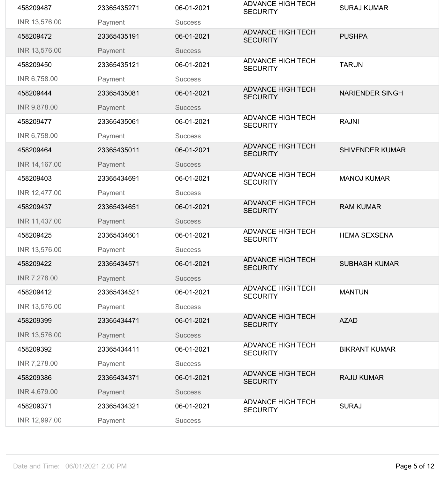| 458209487           | 23365435271 | 06-01-2021     | <b>ADVANCE HIGH TECH</b><br><b>SECURITY</b> | <b>SURAJ KUMAR</b>     |
|---------------------|-------------|----------------|---------------------------------------------|------------------------|
| INR 13,576.00       | Payment     | <b>Success</b> |                                             |                        |
| 458209472           | 23365435191 | 06-01-2021     | <b>ADVANCE HIGH TECH</b><br><b>SECURITY</b> | <b>PUSHPA</b>          |
| INR 13,576.00       | Payment     | <b>Success</b> |                                             |                        |
| 458209450           | 23365435121 | 06-01-2021     | <b>ADVANCE HIGH TECH</b><br><b>SECURITY</b> | <b>TARUN</b>           |
| INR 6,758.00        | Payment     | <b>Success</b> |                                             |                        |
| 458209444           | 23365435081 | 06-01-2021     | <b>ADVANCE HIGH TECH</b><br><b>SECURITY</b> | <b>NARIENDER SINGH</b> |
| <b>INR 9,878.00</b> | Payment     | <b>Success</b> |                                             |                        |
| 458209477           | 23365435061 | 06-01-2021     | <b>ADVANCE HIGH TECH</b><br><b>SECURITY</b> | <b>RAJNI</b>           |
| INR 6,758.00        | Payment     | <b>Success</b> |                                             |                        |
| 458209464           | 23365435011 | 06-01-2021     | <b>ADVANCE HIGH TECH</b><br><b>SECURITY</b> | <b>SHIVENDER KUMAR</b> |
| INR 14,167.00       | Payment     | <b>Success</b> |                                             |                        |
| 458209403           | 23365434691 | 06-01-2021     | <b>ADVANCE HIGH TECH</b><br><b>SECURITY</b> | <b>MANOJ KUMAR</b>     |
| INR 12,477.00       | Payment     | <b>Success</b> |                                             |                        |
| 458209437           | 23365434651 | 06-01-2021     | <b>ADVANCE HIGH TECH</b><br><b>SECURITY</b> | <b>RAM KUMAR</b>       |
| INR 11,437.00       | Payment     | <b>Success</b> |                                             |                        |
| 458209425           | 23365434601 | 06-01-2021     | <b>ADVANCE HIGH TECH</b><br><b>SECURITY</b> | <b>HEMA SEXSENA</b>    |
| INR 13,576.00       | Payment     | <b>Success</b> |                                             |                        |
| 458209422           | 23365434571 | 06-01-2021     | <b>ADVANCE HIGH TECH</b><br><b>SECURITY</b> | <b>SUBHASH KUMAR</b>   |
| INR 7,278.00        | Payment     | <b>Success</b> |                                             |                        |
| 458209412           | 23365434521 | 06-01-2021     | <b>ADVANCE HIGH TECH</b><br><b>SECURITY</b> | <b>MANTUN</b>          |
| INR 13,576.00       | Payment     | <b>Success</b> |                                             |                        |
| 458209399           | 23365434471 | 06-01-2021     | <b>ADVANCE HIGH TECH</b><br><b>SECURITY</b> | <b>AZAD</b>            |
| INR 13,576.00       | Payment     | <b>Success</b> |                                             |                        |
| 458209392           | 23365434411 | 06-01-2021     | <b>ADVANCE HIGH TECH</b><br><b>SECURITY</b> | <b>BIKRANT KUMAR</b>   |
| INR 7,278.00        | Payment     | <b>Success</b> |                                             |                        |
| 458209386           | 23365434371 | 06-01-2021     | <b>ADVANCE HIGH TECH</b><br><b>SECURITY</b> | <b>RAJU KUMAR</b>      |
| INR 4,679.00        | Payment     | <b>Success</b> |                                             |                        |
| 458209371           | 23365434321 | 06-01-2021     | <b>ADVANCE HIGH TECH</b><br><b>SECURITY</b> | <b>SURAJ</b>           |
|                     |             |                |                                             |                        |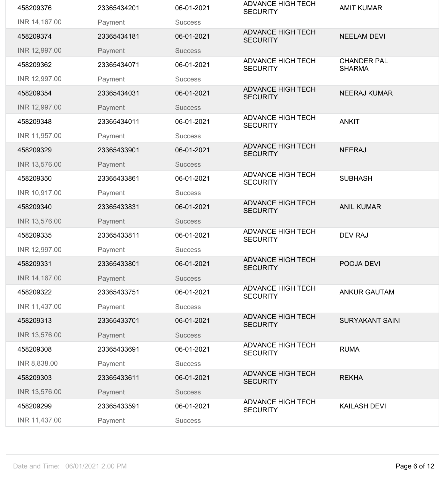| 458209376     | 23365434201 | 06-01-2021     | <b>ADVANCE HIGH TECH</b><br><b>SECURITY</b> | <b>AMIT KUMAR</b>                   |
|---------------|-------------|----------------|---------------------------------------------|-------------------------------------|
| INR 14,167.00 | Payment     | <b>Success</b> |                                             |                                     |
| 458209374     | 23365434181 | 06-01-2021     | <b>ADVANCE HIGH TECH</b><br><b>SECURITY</b> | <b>NEELAM DEVI</b>                  |
| INR 12,997.00 | Payment     | <b>Success</b> |                                             |                                     |
| 458209362     | 23365434071 | 06-01-2021     | <b>ADVANCE HIGH TECH</b><br><b>SECURITY</b> | <b>CHANDER PAL</b><br><b>SHARMA</b> |
| INR 12,997.00 | Payment     | <b>Success</b> |                                             |                                     |
| 458209354     | 23365434031 | 06-01-2021     | <b>ADVANCE HIGH TECH</b><br><b>SECURITY</b> | <b>NEERAJ KUMAR</b>                 |
| INR 12,997.00 | Payment     | <b>Success</b> |                                             |                                     |
| 458209348     | 23365434011 | 06-01-2021     | <b>ADVANCE HIGH TECH</b><br><b>SECURITY</b> | <b>ANKIT</b>                        |
| INR 11,957.00 | Payment     | <b>Success</b> |                                             |                                     |
| 458209329     | 23365433901 | 06-01-2021     | <b>ADVANCE HIGH TECH</b><br><b>SECURITY</b> | <b>NEERAJ</b>                       |
| INR 13,576.00 | Payment     | <b>Success</b> |                                             |                                     |
| 458209350     | 23365433861 | 06-01-2021     | <b>ADVANCE HIGH TECH</b><br><b>SECURITY</b> | <b>SUBHASH</b>                      |
| INR 10,917.00 | Payment     | <b>Success</b> |                                             |                                     |
| 458209340     | 23365433831 | 06-01-2021     | <b>ADVANCE HIGH TECH</b><br><b>SECURITY</b> | <b>ANIL KUMAR</b>                   |
| INR 13,576.00 | Payment     | <b>Success</b> |                                             |                                     |
| 458209335     | 23365433811 | 06-01-2021     | <b>ADVANCE HIGH TECH</b><br><b>SECURITY</b> | <b>DEV RAJ</b>                      |
| INR 12,997.00 | Payment     | <b>Success</b> |                                             |                                     |
| 458209331     | 23365433801 | 06-01-2021     | <b>ADVANCE HIGH TECH</b><br><b>SECURITY</b> | POOJA DEVI                          |
| INR 14,167.00 | Payment     | <b>Success</b> |                                             |                                     |
| 458209322     | 23365433751 | 06-01-2021     | <b>ADVANCE HIGH TECH</b><br><b>SECURITY</b> | <b>ANKUR GAUTAM</b>                 |
| INR 11,437.00 | Payment     | <b>Success</b> |                                             |                                     |
| 458209313     | 23365433701 | 06-01-2021     | <b>ADVANCE HIGH TECH</b><br><b>SECURITY</b> | <b>SURYAKANT SAINI</b>              |
| INR 13,576.00 | Payment     | <b>Success</b> |                                             |                                     |
| 458209308     | 23365433691 | 06-01-2021     | <b>ADVANCE HIGH TECH</b><br><b>SECURITY</b> | <b>RUMA</b>                         |
| INR 8,838.00  | Payment     | <b>Success</b> |                                             |                                     |
| 458209303     | 23365433611 | 06-01-2021     | <b>ADVANCE HIGH TECH</b><br><b>SECURITY</b> | <b>REKHA</b>                        |
| INR 13,576.00 | Payment     | <b>Success</b> |                                             |                                     |
| 458209299     | 23365433591 | 06-01-2021     | <b>ADVANCE HIGH TECH</b><br><b>SECURITY</b> | <b>KAILASH DEVI</b>                 |
| INR 11,437.00 | Payment     | <b>Success</b> |                                             |                                     |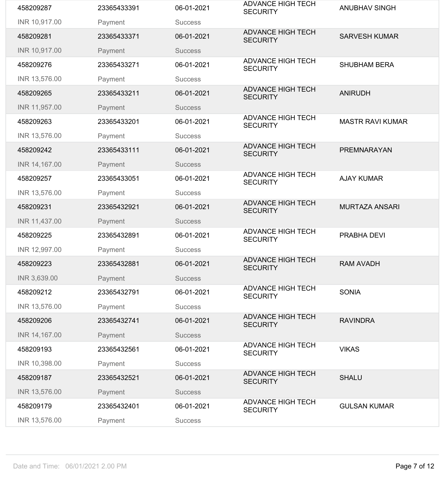| 458209287     | 23365433391 | 06-01-2021     | <b>ADVANCE HIGH TECH</b><br><b>SECURITY</b> | <b>ANUBHAV SINGH</b>    |
|---------------|-------------|----------------|---------------------------------------------|-------------------------|
| INR 10,917.00 | Payment     | <b>Success</b> |                                             |                         |
| 458209281     | 23365433371 | 06-01-2021     | <b>ADVANCE HIGH TECH</b><br><b>SECURITY</b> | <b>SARVESH KUMAR</b>    |
| INR 10,917.00 | Payment     | <b>Success</b> |                                             |                         |
| 458209276     | 23365433271 | 06-01-2021     | <b>ADVANCE HIGH TECH</b><br><b>SECURITY</b> | <b>SHUBHAM BERA</b>     |
| INR 13,576.00 | Payment     | <b>Success</b> |                                             |                         |
| 458209265     | 23365433211 | 06-01-2021     | <b>ADVANCE HIGH TECH</b><br><b>SECURITY</b> | <b>ANIRUDH</b>          |
| INR 11,957.00 | Payment     | <b>Success</b> |                                             |                         |
| 458209263     | 23365433201 | 06-01-2021     | <b>ADVANCE HIGH TECH</b><br><b>SECURITY</b> | <b>MASTR RAVI KUMAR</b> |
| INR 13,576.00 | Payment     | <b>Success</b> |                                             |                         |
| 458209242     | 23365433111 | 06-01-2021     | <b>ADVANCE HIGH TECH</b><br><b>SECURITY</b> | PREMNARAYAN             |
| INR 14,167.00 | Payment     | <b>Success</b> |                                             |                         |
| 458209257     | 23365433051 | 06-01-2021     | <b>ADVANCE HIGH TECH</b><br><b>SECURITY</b> | <b>AJAY KUMAR</b>       |
| INR 13,576.00 | Payment     | <b>Success</b> |                                             |                         |
| 458209231     | 23365432921 | 06-01-2021     | <b>ADVANCE HIGH TECH</b><br><b>SECURITY</b> | <b>MURTAZA ANSARI</b>   |
| INR 11,437.00 | Payment     | <b>Success</b> |                                             |                         |
| 458209225     | 23365432891 | 06-01-2021     | <b>ADVANCE HIGH TECH</b><br><b>SECURITY</b> | PRABHA DEVI             |
| INR 12,997.00 | Payment     | <b>Success</b> |                                             |                         |
| 458209223     | 23365432881 | 06-01-2021     | <b>ADVANCE HIGH TECH</b><br><b>SECURITY</b> | <b>RAM AVADH</b>        |
| INR 3,639.00  | Payment     | <b>Success</b> |                                             |                         |
| 458209212     | 23365432791 | 06-01-2021     | <b>ADVANCE HIGH TECH</b><br><b>SECURITY</b> | <b>SONIA</b>            |
| INR 13,576.00 | Payment     | <b>Success</b> |                                             |                         |
| 458209206     | 23365432741 | 06-01-2021     | <b>ADVANCE HIGH TECH</b><br><b>SECURITY</b> | <b>RAVINDRA</b>         |
| INR 14,167.00 | Payment     | <b>Success</b> |                                             |                         |
| 458209193     | 23365432561 | 06-01-2021     | <b>ADVANCE HIGH TECH</b><br><b>SECURITY</b> | <b>VIKAS</b>            |
| INR 10,398.00 | Payment     | <b>Success</b> |                                             |                         |
| 458209187     | 23365432521 | 06-01-2021     | <b>ADVANCE HIGH TECH</b><br><b>SECURITY</b> | <b>SHALU</b>            |
| INR 13,576.00 | Payment     | <b>Success</b> |                                             |                         |
|               | 23365432401 | 06-01-2021     | <b>ADVANCE HIGH TECH</b>                    | <b>GULSAN KUMAR</b>     |
| 458209179     |             |                | <b>SECURITY</b>                             |                         |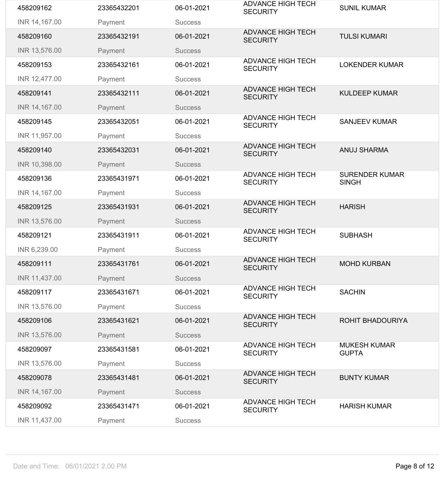| 458209162     | 23365432201 | 06-01-2021     | <b>ADVANCE HIGH TECH</b><br><b>SECURITY</b> | <b>SUNIL KUMAR</b>                    |
|---------------|-------------|----------------|---------------------------------------------|---------------------------------------|
| INR 14,167.00 | Payment     | <b>Success</b> |                                             |                                       |
| 458209160     | 23365432191 | 06-01-2021     | <b>ADVANCE HIGH TECH</b><br><b>SECURITY</b> | <b>TULSI KUMARI</b>                   |
| INR 13,576.00 | Payment     | <b>Success</b> |                                             |                                       |
| 458209153     | 23365432161 | 06-01-2021     | <b>ADVANCE HIGH TECH</b><br><b>SECURITY</b> | <b>LOKENDER KUMAR</b>                 |
| INR 12,477.00 | Payment     | <b>Success</b> |                                             |                                       |
| 458209141     | 23365432111 | 06-01-2021     | <b>ADVANCE HIGH TECH</b><br><b>SECURITY</b> | <b>KULDEEP KUMAR</b>                  |
| INR 14,167.00 | Payment     | <b>Success</b> |                                             |                                       |
| 458209145     | 23365432051 | 06-01-2021     | <b>ADVANCE HIGH TECH</b><br><b>SECURITY</b> | <b>SANJEEV KUMAR</b>                  |
| INR 11,957.00 | Payment     | <b>Success</b> |                                             |                                       |
| 458209140     | 23365432031 | 06-01-2021     | <b>ADVANCE HIGH TECH</b><br><b>SECURITY</b> | <b>ANUJ SHARMA</b>                    |
| INR 10,398.00 | Payment     | <b>Success</b> |                                             |                                       |
| 458209136     | 23365431971 | 06-01-2021     | <b>ADVANCE HIGH TECH</b><br><b>SECURITY</b> | <b>SURENDER KUMAR</b><br><b>SINGH</b> |
| INR 14,167.00 | Payment     | <b>Success</b> |                                             |                                       |
| 458209125     | 23365431931 | 06-01-2021     | <b>ADVANCE HIGH TECH</b><br><b>SECURITY</b> | <b>HARISH</b>                         |
| INR 13,576.00 | Payment     | <b>Success</b> |                                             |                                       |
|               |             |                |                                             |                                       |
| 458209121     | 23365431911 | 06-01-2021     | <b>ADVANCE HIGH TECH</b><br><b>SECURITY</b> | <b>SUBHASH</b>                        |
| INR 6,239.00  | Payment     | <b>Success</b> |                                             |                                       |
| 458209111     | 23365431761 | 06-01-2021     | <b>ADVANCE HIGH TECH</b><br><b>SECURITY</b> | <b>MOHD KURBAN</b>                    |
| INR 11,437.00 | Payment     | <b>Success</b> |                                             |                                       |
| 458209117     | 23365431671 | 06-01-2021     | <b>ADVANCE HIGH TECH</b><br><b>SECURITY</b> | <b>SACHIN</b>                         |
| INR 13,576.00 | Payment     | <b>Success</b> |                                             |                                       |
| 458209106     | 23365431621 | 06-01-2021     | <b>ADVANCE HIGH TECH</b><br><b>SECURITY</b> | <b>ROHIT BHADOURIYA</b>               |
| INR 13,576.00 | Payment     | <b>Success</b> |                                             |                                       |
| 458209097     | 23365431581 | 06-01-2021     | <b>ADVANCE HIGH TECH</b><br><b>SECURITY</b> | <b>MUKESH KUMAR</b><br><b>GUPTA</b>   |
| INR 13,576.00 | Payment     | <b>Success</b> |                                             |                                       |
| 458209078     | 23365431481 | 06-01-2021     | <b>ADVANCE HIGH TECH</b><br><b>SECURITY</b> | <b>BUNTY KUMAR</b>                    |
| INR 14,167.00 | Payment     | <b>Success</b> |                                             |                                       |
| 458209092     | 23365431471 | 06-01-2021     | <b>ADVANCE HIGH TECH</b><br><b>SECURITY</b> | <b>HARISH KUMAR</b>                   |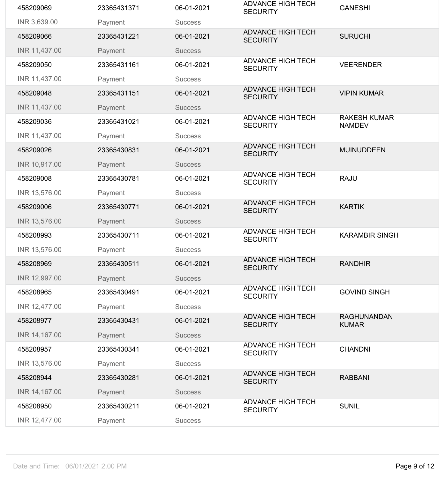| 458209069     | 23365431371 | 06-01-2021     | <b>ADVANCE HIGH TECH</b><br><b>SECURITY</b> | <b>GANESHI</b>                       |
|---------------|-------------|----------------|---------------------------------------------|--------------------------------------|
| INR 3,639.00  | Payment     | <b>Success</b> |                                             |                                      |
| 458209066     | 23365431221 | 06-01-2021     | <b>ADVANCE HIGH TECH</b><br><b>SECURITY</b> | <b>SURUCHI</b>                       |
| INR 11,437.00 | Payment     | <b>Success</b> |                                             |                                      |
| 458209050     | 23365431161 | 06-01-2021     | <b>ADVANCE HIGH TECH</b><br><b>SECURITY</b> | <b>VEERENDER</b>                     |
| INR 11,437.00 | Payment     | <b>Success</b> |                                             |                                      |
| 458209048     | 23365431151 | 06-01-2021     | <b>ADVANCE HIGH TECH</b><br><b>SECURITY</b> | <b>VIPIN KUMAR</b>                   |
| INR 11,437.00 | Payment     | <b>Success</b> |                                             |                                      |
| 458209036     | 23365431021 | 06-01-2021     | <b>ADVANCE HIGH TECH</b><br><b>SECURITY</b> | <b>RAKESH KUMAR</b><br><b>NAMDEV</b> |
| INR 11,437.00 | Payment     | <b>Success</b> |                                             |                                      |
| 458209026     | 23365430831 | 06-01-2021     | <b>ADVANCE HIGH TECH</b><br><b>SECURITY</b> | <b>MUINUDDEEN</b>                    |
| INR 10,917.00 | Payment     | <b>Success</b> |                                             |                                      |
| 458209008     | 23365430781 | 06-01-2021     | <b>ADVANCE HIGH TECH</b><br><b>SECURITY</b> | <b>RAJU</b>                          |
| INR 13,576.00 | Payment     | <b>Success</b> |                                             |                                      |
| 458209006     | 23365430771 | 06-01-2021     | <b>ADVANCE HIGH TECH</b><br><b>SECURITY</b> | <b>KARTIK</b>                        |
| INR 13,576.00 | Payment     | <b>Success</b> |                                             |                                      |
| 458208993     | 23365430711 | 06-01-2021     | <b>ADVANCE HIGH TECH</b><br><b>SECURITY</b> | <b>KARAMBIR SINGH</b>                |
| INR 13,576.00 | Payment     | <b>Success</b> |                                             |                                      |
| 458208969     | 23365430511 | 06-01-2021     | <b>ADVANCE HIGH TECH</b><br><b>SECURITY</b> | <b>RANDHIR</b>                       |
| INR 12,997.00 | Payment     | <b>Success</b> |                                             |                                      |
| 458208965     | 23365430491 | 06-01-2021     | <b>ADVANCE HIGH TECH</b><br><b>SECURITY</b> | <b>GOVIND SINGH</b>                  |
| INR 12,477.00 | Payment     | <b>Success</b> |                                             |                                      |
| 458208977     | 23365430431 | 06-01-2021     | <b>ADVANCE HIGH TECH</b><br><b>SECURITY</b> | <b>RAGHUNANDAN</b><br><b>KUMAR</b>   |
| INR 14,167.00 | Payment     | <b>Success</b> |                                             |                                      |
| 458208957     | 23365430341 | 06-01-2021     | <b>ADVANCE HIGH TECH</b><br><b>SECURITY</b> | <b>CHANDNI</b>                       |
| INR 13,576.00 | Payment     | <b>Success</b> |                                             |                                      |
| 458208944     | 23365430281 | 06-01-2021     | <b>ADVANCE HIGH TECH</b><br><b>SECURITY</b> | <b>RABBANI</b>                       |
| INR 14,167.00 | Payment     | <b>Success</b> |                                             |                                      |
| 458208950     | 23365430211 | 06-01-2021     | <b>ADVANCE HIGH TECH</b><br><b>SECURITY</b> | <b>SUNIL</b>                         |
| INR 12,477.00 | Payment     | <b>Success</b> |                                             |                                      |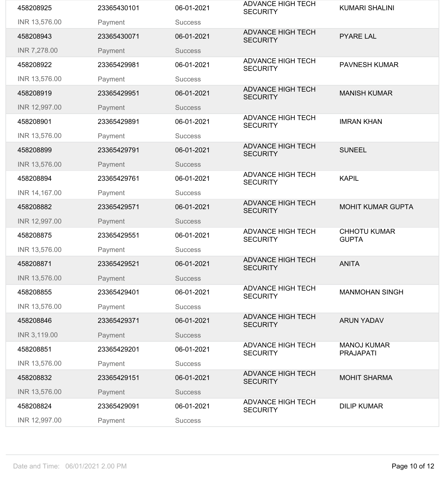| 458208925     | 23365430101 | 06-01-2021     | <b>ADVANCE HIGH TECH</b><br><b>SECURITY</b> | <b>KUMARI SHALINI</b>                  |
|---------------|-------------|----------------|---------------------------------------------|----------------------------------------|
| INR 13,576.00 | Payment     | <b>Success</b> |                                             |                                        |
| 458208943     | 23365430071 | 06-01-2021     | <b>ADVANCE HIGH TECH</b><br><b>SECURITY</b> | <b>PYARE LAL</b>                       |
| INR 7,278.00  | Payment     | <b>Success</b> |                                             |                                        |
| 458208922     | 23365429981 | 06-01-2021     | <b>ADVANCE HIGH TECH</b><br><b>SECURITY</b> | <b>PAVNESH KUMAR</b>                   |
| INR 13,576.00 | Payment     | <b>Success</b> |                                             |                                        |
| 458208919     | 23365429951 | 06-01-2021     | <b>ADVANCE HIGH TECH</b><br><b>SECURITY</b> | <b>MANISH KUMAR</b>                    |
| INR 12,997.00 | Payment     | <b>Success</b> |                                             |                                        |
| 458208901     | 23365429891 | 06-01-2021     | <b>ADVANCE HIGH TECH</b><br><b>SECURITY</b> | <b>IMRAN KHAN</b>                      |
| INR 13,576.00 | Payment     | <b>Success</b> |                                             |                                        |
| 458208899     | 23365429791 | 06-01-2021     | <b>ADVANCE HIGH TECH</b><br><b>SECURITY</b> | <b>SUNEEL</b>                          |
| INR 13,576.00 | Payment     | <b>Success</b> |                                             |                                        |
| 458208894     | 23365429761 | 06-01-2021     | <b>ADVANCE HIGH TECH</b><br><b>SECURITY</b> | <b>KAPIL</b>                           |
| INR 14,167.00 | Payment     | <b>Success</b> |                                             |                                        |
| 458208882     | 23365429571 | 06-01-2021     | <b>ADVANCE HIGH TECH</b><br><b>SECURITY</b> | <b>MOHIT KUMAR GUPTA</b>               |
| INR 12,997.00 | Payment     | <b>Success</b> |                                             |                                        |
|               |             |                |                                             |                                        |
| 458208875     | 23365429551 | 06-01-2021     | <b>ADVANCE HIGH TECH</b><br><b>SECURITY</b> | <b>CHHOTU KUMAR</b><br><b>GUPTA</b>    |
| INR 13,576.00 | Payment     | <b>Success</b> |                                             |                                        |
| 458208871     | 23365429521 | 06-01-2021     | <b>ADVANCE HIGH TECH</b><br><b>SECURITY</b> | <b>ANITA</b>                           |
| INR 13,576.00 | Payment     | <b>Success</b> |                                             |                                        |
| 458208855     | 23365429401 | 06-01-2021     | <b>ADVANCE HIGH TECH</b><br><b>SECURITY</b> | <b>MANMOHAN SINGH</b>                  |
| INR 13,576.00 | Payment     | <b>Success</b> |                                             |                                        |
| 458208846     | 23365429371 | 06-01-2021     | <b>ADVANCE HIGH TECH</b><br><b>SECURITY</b> | <b>ARUN YADAV</b>                      |
| INR 3,119.00  | Payment     | <b>Success</b> |                                             |                                        |
| 458208851     | 23365429201 | 06-01-2021     | <b>ADVANCE HIGH TECH</b><br><b>SECURITY</b> | <b>MANOJ KUMAR</b><br><b>PRAJAPATI</b> |
| INR 13,576.00 | Payment     | <b>Success</b> |                                             |                                        |
| 458208832     | 23365429151 | 06-01-2021     | <b>ADVANCE HIGH TECH</b><br><b>SECURITY</b> | <b>MOHIT SHARMA</b>                    |
| INR 13,576.00 | Payment     | <b>Success</b> |                                             |                                        |
| 458208824     | 23365429091 | 06-01-2021     | <b>ADVANCE HIGH TECH</b><br><b>SECURITY</b> | <b>DILIP KUMAR</b>                     |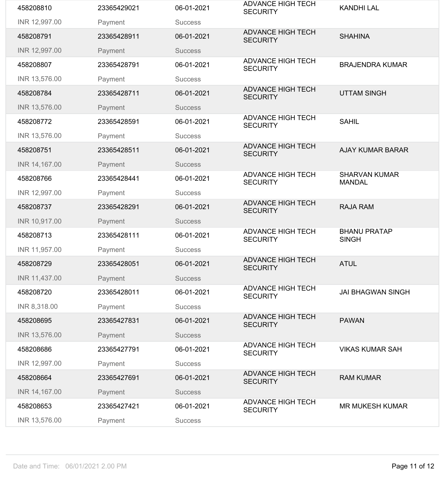| 458208810     | 23365429021 | 06-01-2021     | <b>ADVANCE HIGH TECH</b><br><b>SECURITY</b> | <b>KANDHI LAL</b>                     |
|---------------|-------------|----------------|---------------------------------------------|---------------------------------------|
| INR 12,997.00 | Payment     | <b>Success</b> |                                             |                                       |
| 458208791     | 23365428911 | 06-01-2021     | <b>ADVANCE HIGH TECH</b><br><b>SECURITY</b> | <b>SHAHINA</b>                        |
| INR 12,997.00 | Payment     | <b>Success</b> |                                             |                                       |
| 458208807     | 23365428791 | 06-01-2021     | <b>ADVANCE HIGH TECH</b><br><b>SECURITY</b> | <b>BRAJENDRA KUMAR</b>                |
| INR 13,576.00 | Payment     | <b>Success</b> |                                             |                                       |
| 458208784     | 23365428711 | 06-01-2021     | <b>ADVANCE HIGH TECH</b><br><b>SECURITY</b> | <b>UTTAM SINGH</b>                    |
| INR 13,576.00 | Payment     | <b>Success</b> |                                             |                                       |
| 458208772     | 23365428591 | 06-01-2021     | <b>ADVANCE HIGH TECH</b><br><b>SECURITY</b> | <b>SAHIL</b>                          |
| INR 13,576.00 | Payment     | <b>Success</b> |                                             |                                       |
| 458208751     | 23365428511 | 06-01-2021     | <b>ADVANCE HIGH TECH</b><br><b>SECURITY</b> | <b>AJAY KUMAR BARAR</b>               |
| INR 14,167.00 | Payment     | <b>Success</b> |                                             |                                       |
| 458208766     | 23365428441 | 06-01-2021     | <b>ADVANCE HIGH TECH</b><br><b>SECURITY</b> | <b>SHARVAN KUMAR</b><br><b>MANDAL</b> |
| INR 12,997.00 | Payment     | <b>Success</b> |                                             |                                       |
| 458208737     | 23365428291 | 06-01-2021     | <b>ADVANCE HIGH TECH</b><br><b>SECURITY</b> | <b>RAJA RAM</b>                       |
| INR 10,917.00 | Payment     | <b>Success</b> |                                             |                                       |
| 458208713     | 23365428111 | 06-01-2021     | <b>ADVANCE HIGH TECH</b><br><b>SECURITY</b> | <b>BHANU PRATAP</b><br><b>SINGH</b>   |
| INR 11,957.00 | Payment     | <b>Success</b> |                                             |                                       |
| 458208729     | 23365428051 | 06-01-2021     | <b>ADVANCE HIGH TECH</b><br><b>SECURITY</b> | <b>ATUL</b>                           |
| INR 11,437.00 | Payment     | <b>Success</b> |                                             |                                       |
| 458208720     | 23365428011 | 06-01-2021     | <b>ADVANCE HIGH TECH</b><br><b>SECURITY</b> | <b>JAI BHAGWAN SINGH</b>              |
|               |             |                |                                             |                                       |
| INR 8,318.00  | Payment     | <b>Success</b> |                                             |                                       |
| 458208695     | 23365427831 | 06-01-2021     | <b>ADVANCE HIGH TECH</b><br><b>SECURITY</b> | <b>PAWAN</b>                          |
| INR 13,576.00 | Payment     | <b>Success</b> |                                             |                                       |
| 458208686     | 23365427791 | 06-01-2021     | <b>ADVANCE HIGH TECH</b><br><b>SECURITY</b> | <b>VIKAS KUMAR SAH</b>                |
| INR 12,997.00 | Payment     | <b>Success</b> |                                             |                                       |
| 458208664     | 23365427691 | 06-01-2021     | <b>ADVANCE HIGH TECH</b><br><b>SECURITY</b> | <b>RAM KUMAR</b>                      |
| INR 14,167.00 | Payment     | <b>Success</b> |                                             |                                       |
| 458208653     | 23365427421 | 06-01-2021     | <b>ADVANCE HIGH TECH</b><br><b>SECURITY</b> | <b>MR MUKESH KUMAR</b>                |